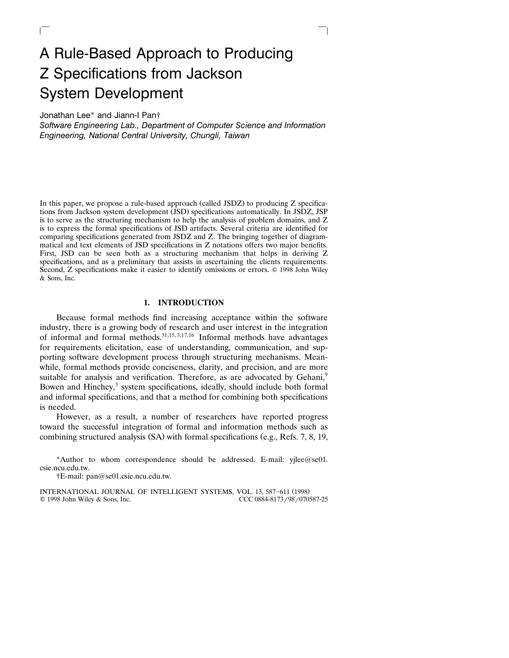# A Rule-Based Approach to Producing Z Specifications from Jackson System Development

Jonathan Lee\* and Jiann-I Pan†

 $\overline{\phantom{a}}$ 

*Software Engineering Lab., Department of Computer Science and Information Engineering, National Central University, Chungli, Taiwan*

 $\overline{a}$  , and the contract of the contract of the contract of the contract of the contract of the contract of the contract of the contract of the contract of the contract of the contract of the contract of the contract o

In this paper, we propose a rule-based approach (called JSDZ) to producing  $Z$  specifications from Jackson system development  $\overline{ (JSD)}$  specifications automatically. In JSDZ, JSP is to serve as the structuring mechanism to help the analysis of problem domains, and Z is to express the formal specifications of JSD artifacts. Several criteria are identified for comparing specifications generated from JSDZ and Z. The bringing together of diagrammatical and text elements of JSD specifications in Z notations offers two major benefits. First, JSD can be seen both as a structuring mechanism that helps in deriving Z specifications, and as a preliminary that assists in ascertaining the clients requirements. Second, Z specifications make it easier to identify omissions or errors. © 1998 John Wiley & Sons, Inc.

## **1. INTRODUCTION**

Because formal methods find increasing acceptance within the software industry, there is a growing body of research and user interest in the integration of informal and formal methods. $31,15,3,17,16$  Informal methods have advantages for requirements elicitation, ease of understanding, communication, and supporting software development process through structuring mechanisms. Meanwhile, formal methods provide conciseness, clarity, and precision, and are more suitable for analysis and verification. Therefore, as are advocated by Gehani,<sup>9</sup> Bowen and Hinchey,<sup>3</sup> system specifications, ideally, should include both formal and informal specifications, and that a method for combining both specifications is needed.

However, as a result, a number of researchers have reported progress toward the successful integration of formal and information methods such as combining structured analysis  $(SA)$  with formal specifications (e.g., Refs. 7, 8, 19,

\*Author to whom correspondence should be addressed. E-mail: yjlee@se01. csie.ncu.edu.tw.

†E-mail: pan@se01.csie.ncu.edu.tw.

INTERNATIONAL JOURNAL OF INTELLIGENT SYSTEMS, VOL. 13, 587-611 (1998)<br>© 1998 John Wiley & Sons, Inc. CCC 0884-8173/98/070: CCC 0884-8173/98/070587-25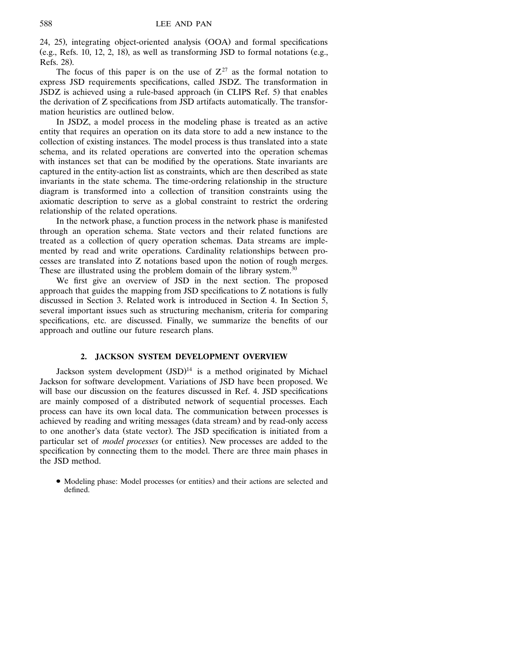24, 25), integrating object-oriented analysis (OOA) and formal specifications (e.g., Refs.  $10$ ,  $12$ ,  $2$ ,  $18$ ), as well as transforming JSD to formal notations (e.g., Refs. 28).

The focus of this paper is on the use of  $Z^{27}$  as the formal notation to express JSD requirements specifications, called JSDZ. The transformation in JSDZ is achieved using a rule-based approach (in CLIPS Ref. 5) that enables the derivation of Z specifications from JSD artifacts automatically. The transformation heuristics are outlined below.

In JSDZ, a model process in the modeling phase is treated as an active entity that requires an operation on its data store to add a new instance to the collection of existing instances. The model process is thus translated into a state schema, and its related operations are converted into the operation schemas with instances set that can be modified by the operations. State invariants are captured in the entity-action list as constraints, which are then described as state invariants in the state schema. The time-ordering relationship in the structure diagram is transformed into a collection of transition constraints using the axiomatic description to serve as a global constraint to restrict the ordering relationship of the related operations.

In the network phase, a function process in the network phase is manifested through an operation schema. State vectors and their related functions are treated as a collection of query operation schemas. Data streams are implemented by read and write operations. Cardinality relationships between processes are translated into Z notations based upon the notion of rough merges. These are illustrated using the problem domain of the library system.<sup>30</sup>

We first give an overview of JSD in the next section. The proposed approach that guides the mapping from JSD specifications to Z notations is fully discussed in Section 3. Related work is introduced in Section 4. In Section 5, several important issues such as structuring mechanism, criteria for comparing specifications, etc. are discussed. Finally, we summarize the benefits of our approach and outline our future research plans.

# **2. JACKSON SYSTEM DEVELOPMENT OVERVIEW**

Jackson system development  $(ISD)^{14}$  is a method originated by Michael Jackson for software development. Variations of JSD have been proposed. We will base our discussion on the features discussed in Ref. 4. JSD specifications are mainly composed of a distributed network of sequential processes. Each process can have its own local data. The communication between processes is achieved by reading and writing messages (data stream) and by read-only access to one another's data (state vector). The JSD specification is initiated from a particular set of *model processes* (or entities). New processes are added to the specification by connecting them to the model. There are three main phases in the JSD method.

• Modeling phase: Model processes (or entities) and their actions are selected and defined.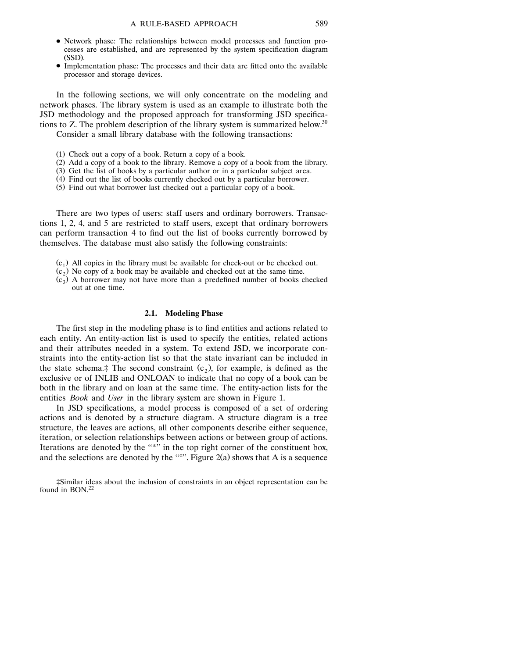- Network phase: The relationships between model processes and function processes are established, and are represented by the system specification diagram  $(SSD)$ .
- <sup>v</sup> Implementation phase: The processes and their data are fitted onto the available processor and storage devices.

In the following sections, we will only concentrate on the modeling and network phases. The library system is used as an example to illustrate both the JSD methodology and the proposed approach for transforming JSD specifications to Z. The problem description of the library system is summarized below.<sup>30</sup>

Consider a small library database with the following transactions:

- $(1)$  Check out a copy of a book. Return a copy of a book.
- $(2)$  Add a copy of a book to the library. Remove a copy of a book from the library.
- $(3)$  Get the list of books by a particular author or in a particular subject area.
- (4) Find out the list of books currently checked out by a particular borrower.
- (5) Find out what borrower last checked out a particular copy of a book.

There are two types of users: staff users and ordinary borrowers. Transactions 1, 2, 4, and 5 are restricted to staff users, except that ordinary borrowers can perform transaction 4 to find out the list of books currently borrowed by themselves. The database must also satisfy the following constraints:

- $(c<sub>1</sub>)$  All copies in the library must be available for check-out or be checked out.
- $(c_2)$  No copy of a book may be available and checked out at the same time.
- $(c_2)$  A borrower may not have more than a predefined number of books checked out at one time.

## **2.1. Modeling Phase**

The first step in the modeling phase is to find entities and actions related to each entity. An entity-action list is used to specify the entities, related actions and their attributes needed in a system. To extend JSD, we incorporate constraints into the entity-action list so that the state invariant can be included in the state schema. $\ddagger$  The second constraint (c<sub>2</sub>), for example, is defined as the exclusive or of INLIB and ONLOAN to indicate that no copy of a book can be both in the library and on loan at the same time. The entity-action lists for the entities *Book* and *User* in the library system are shown in Figure 1.

In JSD specifications, a model process is composed of a set of ordering actions and is denoted by a structure diagram. A structure diagram is a tree structure, the leaves are actions, all other components describe either sequence, iteration, or selection relationships between actions or between group of actions. Iterations are denoted by the "\*" in the top right corner of the constituent box, and the selections are denoted by the " $\degree$ ". Figure 2(a) shows that A is a sequence

<sup>‡</sup>Similar ideas about the inclusion of constraints in an object representation can be found in  $BON<sup>22</sup>$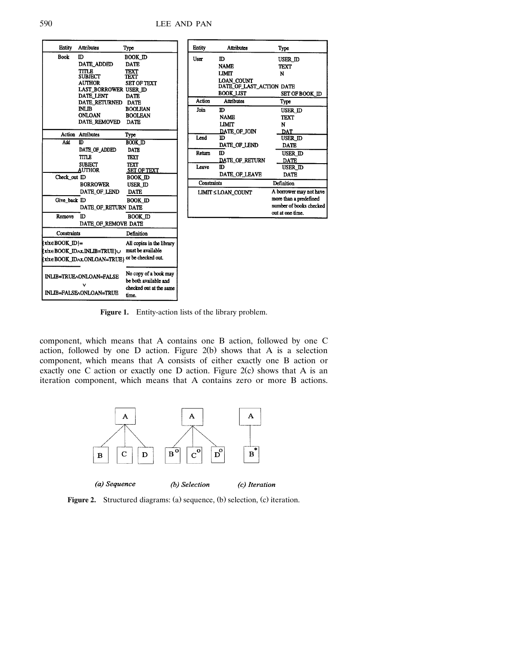| Entity         | <b>Attributes</b>                  | Type                             |
|----------------|------------------------------------|----------------------------------|
| <b>Book</b>    | m                                  | <b>BOOK_ID</b>                   |
|                | DATE ADDED                         | <b>DATE</b>                      |
|                | TITLE                              | TEXT                             |
|                | <b>SUBJECT</b>                     | TEXT                             |
|                | <b>AUTHOR</b>                      | <b>SET OF TEXT</b>               |
|                | LAST BORROWER USER ID              |                                  |
|                | DATE LENT                          | <b>DATE</b>                      |
|                | DATE RETURNED DATE                 |                                  |
|                | INLIB                              | <b>BOOLEAN</b>                   |
|                | <b>ONLOAN</b>                      | <b>BOOLEAN</b>                   |
|                | DATE REMOVED DATE                  |                                  |
|                | <b>Action Attributes</b>           | Type                             |
| Add            | m                                  | <b>BOOK ID</b>                   |
|                | DATE OF ADDED                      | DATE                             |
|                | TITLE                              | TEXT                             |
|                | <b>SUBJECT</b>                     | TEXT                             |
|                | <b>AUTHOR</b>                      | <b>SET OF TEXT</b>               |
| Check out ID   |                                    | <b>BOOK ID</b>                   |
|                | <b>BORROWER</b>                    | USER ID                          |
|                | DATE OF LEND                       | <b>DATE</b>                      |
| Give back ID   |                                    | <b>BOOK ID</b>                   |
|                | DATE OF RETURN DATE                |                                  |
| Remove         | m                                  | book id                          |
|                | DATE OF REMOVE DATE                |                                  |
| Constraints    |                                    | Definition                       |
| {x xeBOOK ID}= |                                    | All copies in the library        |
|                | Kx x∈BOOK_ID^x.INLIB=TRUE}∪        | must be available                |
|                | <b>{x xEBOOK_ID^x.ONLOAN=TRUE}</b> | or be checked out.               |
|                |                                    | No copy of a book may            |
|                | INLIB=TRUE^ONLOAN=FALSE            | be both available and            |
|                | INLIB=FALSE^ONLOAN=TRUE            | checked out at the same<br>time. |

| Entity           | <b>Attributes</b>        | Type                    |
|------------------|--------------------------|-------------------------|
| User             | m                        | user id                 |
|                  | <b>NAME</b>              | TEXT                    |
|                  | LIMIT                    | N                       |
|                  | LOAN COUNT               |                         |
|                  | DATE_OF_LAST_ACTION_DATE |                         |
|                  | <b>BOOK LIST</b>         | <b>SET OF BOOK ID</b>   |
| Action           | <b>Attributes</b>        | Type                    |
| Join             | m                        | <b>USER ID</b>          |
|                  | <b>NAME</b>              | <b>TEXT</b>             |
|                  | LIMIT                    | N                       |
|                  | <u>DATE OF JOIN</u>      | <b>DAT</b>              |
| Lend             | תו                       | user id                 |
|                  | DATE OF LEND             | DATE                    |
| Return           | m                        | user id                 |
|                  | DATE OF RETURN           | <b>DATE</b>             |
| Leave            | m                        | user id                 |
|                  | DATE OF LEAVE            | <b>DATE</b>             |
| Constraints      |                          | Definition              |
| LIMIT≤LOAN_COUNT |                          | A borrower may not have |
|                  |                          | more than a predefined  |
|                  |                          | number of books checked |
|                  |                          | out at one time.        |
|                  |                          |                         |

**Figure 1.** Entity-action lists of the library problem.

component, which means that A contains one B action, followed by one C action, followed by one D action. Figure  $2(b)$  shows that A is a selection component, which means that A consists of either exactly one B action or exactly one C action or exactly one D action. Figure  $2(c)$  shows that A is an iteration component, which means that A contains zero or more B actions.



(a) Sequence (b) Selection (c) Iteration

**Figure 2.** Structured diagrams: (a) sequence, (b) selection, (c) iteration.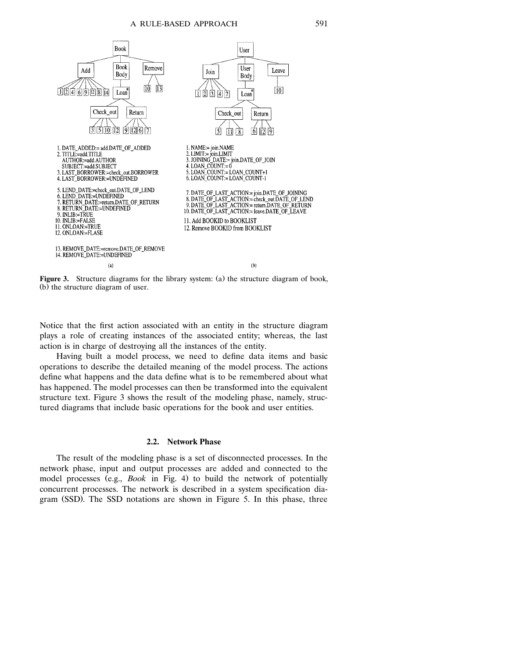

**Figure 3.** Structure diagrams for the library system: (a) the structure diagram of book, (b) the structure diagram of user.

Notice that the first action associated with an entity in the structure diagram plays a role of creating instances of the associated entity; whereas, the last action is in charge of destroying all the instances of the entity.

Having built a model process, we need to define data items and basic operations to describe the detailed meaning of the model process. The actions define what happens and the data define what is to be remembered about what has happened. The model processes can then be transformed into the equivalent structure text. Figure 3 shows the result of the modeling phase, namely, structured diagrams that include basic operations for the book and user entities.

### **2.2. Network Phase**

The result of the modeling phase is a set of disconnected processes. In the network phase, input and output processes are added and connected to the model processes (e.g., *Book* in Fig. 4) to build the network of potentially concurrent processes. The network is described in a system specification diagram (SSD). The SSD notations are shown in Figure 5. In this phase, three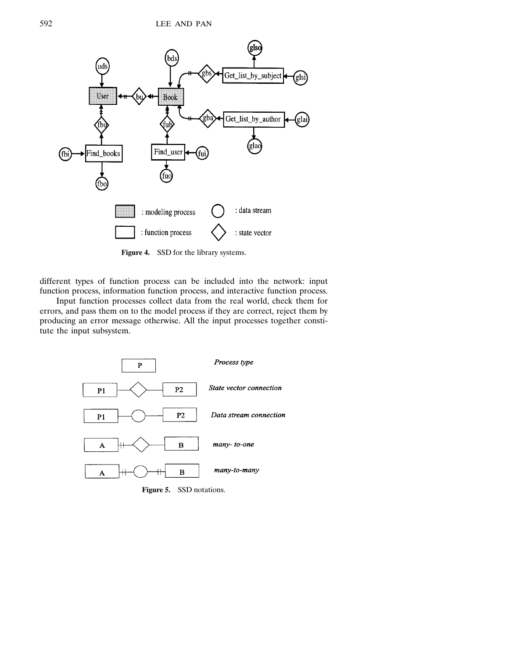

**Figure 4.** SSD for the library systems.

different types of function process can be included into the network: input function process, information function process, and interactive function process.

Input function processes collect data from the real world, check them for errors, and pass them on to the model process if they are correct, reject them by producing an error message otherwise. All the input processes together constitute the input subsystem.



**Figure 5.** SSD notations.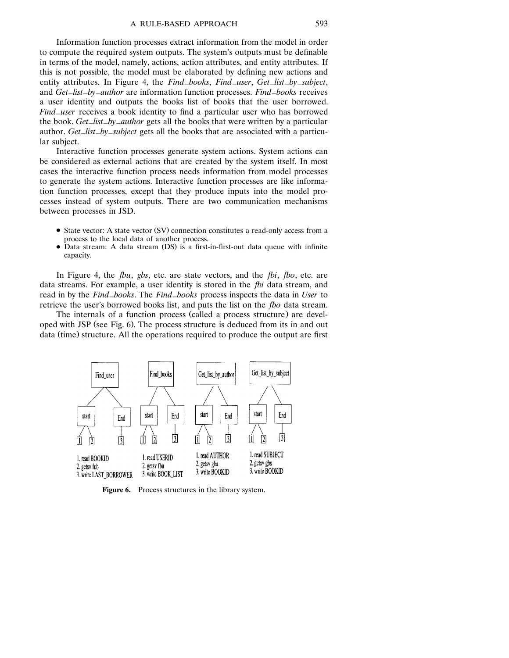Information function processes extract information from the model in order to compute the required system outputs. The system's outputs must be definable in terms of the model, namely, actions, action attributes, and entity attributes. If this is not possible, the model must be elaborated by defining new actions and entity attributes. In Figure 4, the *Find\_books*, *Find\_user*, *Get\_list\_by\_subject*, and *Get\_list\_by\_author* are information function processes. *Find\_books* receives a user identity and outputs the books list of books that the user borrowed. *Find user* receives a book identity to find a particular user who has borrowed the book. *Get–list–by–author* gets all the books that were written by a particular author. *Get\_list\_by\_subject* gets all the books that are associated with a particular subject.

Interactive function processes generate system actions. System actions can be considered as external actions that are created by the system itself. In most cases the interactive function process needs information from model processes to generate the system actions. Interactive function processes are like information function processes, except that they produce inputs into the model processes instead of system outputs. There are two communication mechanisms between processes in JSD.

- $\bullet$  State vector: A state vector (SV) connection constitutes a read-only access from a process to the local data of another process.
- $\bullet$  Data stream: A data stream (DS) is a first-in-first-out data queue with infinite capacity.

In Figure 4, the *fbu*, *gbs*, etc. are state vectors, and the *fbi*, *fbo*, etc. are data streams. For example, a user identity is stored in the *fbi* data stream, and read in by the *Find<sub>-books</sub>*. The *Find<sub>-books</sub>* process inspects the data in *User* to retrieve the user's borrowed books list, and puts the list on the *fbo* data stream.

The internals of a function process (called a process structure) are developed with JSP (see Fig. 6). The process structure is deduced from its in and out data (time) structure. All the operations required to produce the output are first



**Figure 6.** Process structures in the library system.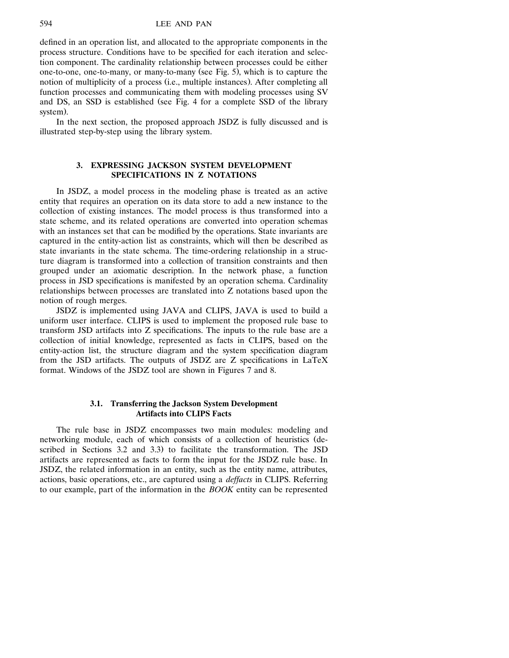defined in an operation list, and allocated to the appropriate components in the process structure. Conditions have to be specified for each iteration and selection component. The cardinality relationship between processes could be either one-to-one, one-to-many, or many-to-many (see Fig. 5), which is to capture the notion of multiplicity of a process (i.e., multiple instances). After completing all function processes and communicating them with modeling processes using SV and DS, an SSD is established (see Fig. 4 for a complete SSD of the library system).

In the next section, the proposed approach JSDZ is fully discussed and is illustrated step-by-step using the library system.

# **3. EXPRESSING JACKSON SYSTEM DEVELOPMENT SPECIFICATIONS IN Z NOTATIONS**

In JSDZ, a model process in the modeling phase is treated as an active entity that requires an operation on its data store to add a new instance to the collection of existing instances. The model process is thus transformed into a state scheme, and its related operations are converted into operation schemas with an instances set that can be modified by the operations. State invariants are captured in the entity-action list as constraints, which will then be described as state invariants in the state schema. The time-ordering relationship in a structure diagram is transformed into a collection of transition constraints and then grouped under an axiomatic description. In the network phase, a function process in JSD specifications is manifested by an operation schema. Cardinality relationships between processes are translated into Z notations based upon the notion of rough merges.

JSDZ is implemented using JAVA and CLIPS, JAVA is used to build a uniform user interface. CLIPS is used to implement the proposed rule base to transform JSD artifacts into Z specifications. The inputs to the rule base are a collection of initial knowledge, represented as facts in CLIPS, based on the entity-action list, the structure diagram and the system specification diagram from the JSD artifacts. The outputs of JSDZ are Z specifications in LaTeX format. Windows of the JSDZ tool are shown in Figures 7 and 8.

# **3.1. Transferring the Jackson System Development Artifacts into CLIPS Facts**

The rule base in JSDZ encompasses two main modules: modeling and networking module, each of which consists of a collection of heuristics (described in Sections 3.2 and 3.3) to facilitate the transformation. The JSD artifacts are represented as facts to form the input for the JSDZ rule base. In JSDZ, the related information in an entity, such as the entity name, attributes, actions, basic operations, etc., are captured using a *deffacts* in CLIPS. Referring to our example, part of the information in the *BOOK* entity can be represented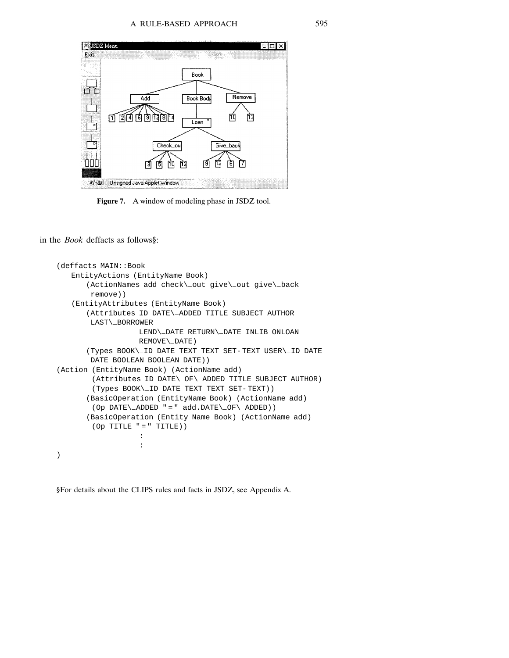

**Figure 7.** A window of modeling phase in JSDZ tool.

# in the *Book* deffacts as follows§:

```
(deffacts MAIN::Book
   EntityActions (EntityName Book)
      (ActionNames add check\_out give\_out give\_back
       remove))
   (EntityAttributes (EntityName Book)
      (Attributes ID DATE\_ADDED TITLE SUBJECT AUTHOR
       LAST\_BORROWER
                   LEND\_DATE RETURN\_DATE INLIB ONLOAN
                   REMOVE\L{DATE}(Types BOOK\_ID DATE TEXT TEXT SET-TEXT USER\_ID DATE
       DATE BOOLEAN BOOLEAN DATE))
(Action (EntityName Book) (ActionName add)
        (Attributes ID DATE\_OF\_ADDED TITLE SUBJECT AUTHOR)
        (Types BOOK\_ID DATE TEXT TEXT SET-TEXT))
      (BasicOperation (EntityName Book) (ActionName add)
        (Op DATE\_ADDED " = " add.DATE\_OF\_ADDED))
      (BasicOperation (Entity Name Book) (ActionName add)
        (Op TITLE " = " TITLE))
                   :
                   :
)
```
§For details about the CLIPS rules and facts in JSDZ, see Appendix A.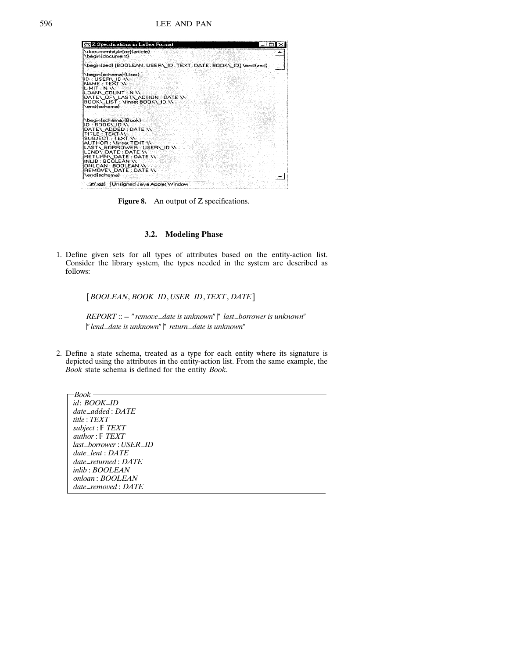

Figure 8. An output of Z specifications.

# **3.2. Modeling Phase**

1. Define given sets for all types of attributes based on the entity-action list. Consider the library system, the types needed in the system are described as follows:

 $[ \overline{BOOLEAN}, \overline{BOOK\_ID}, \overline{USER\_ID}, \overline{TEXT}, \overline{DATE} ]$ 

*REPORT* :: = " remove\_date is unknown" |" last\_borrower is unknown"<br>|" lend\_date is unknown" |" return\_date is unknown"

2. Define a state schema, treated as a type for each entity where its signature is depicted using the attributes in the entity-action list. From the same example, the *Book* state schema is defined for the entity *Book*.

*Book id*: *BOOK\_ID*<br>*date\_added* : *DATE title* : *TEXT subject* : F *TEXT author* : F *TEXT*  $last\_borrower : USER\_ID$  $date$ *-lent* : DATE  $date\_returned$  : DATE *inlib* : *BOOLEAN onloan* : *BOOLEAN date removed* : *DATE*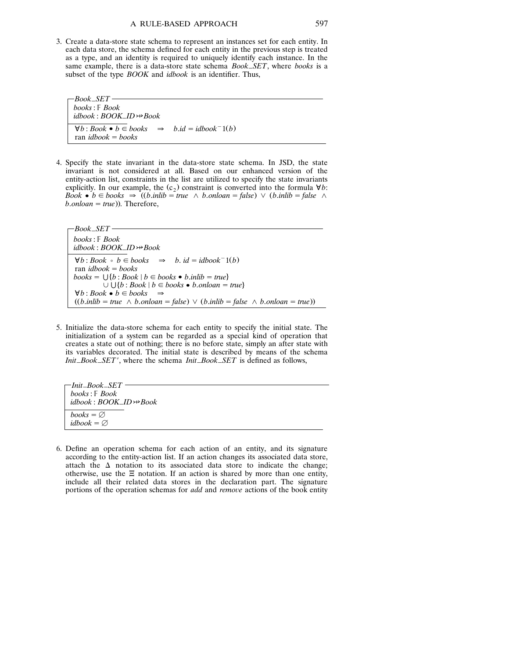3. Create a data-store state schema to represent an instances set for each entity. In each data store, the schema defined for each entity in the previous step is treated as a type, and an identity is required to uniquely identify each instance. In the same example, there is a data-store state schema *Book* SET, where *books* is a subset of the type *BOOK* and *idbook* is an identifier. Thus,

*Book SET* ] *books*: <sup>F</sup> *Book* 6 *idbook* : *BOOK ID Book* ]  $\overline{\forall b : Book \bullet b \in books} \Rightarrow b.id = idbook^{-1}(b)$ ran *idbook*s *books*

4. Specify the state invariant in the data-store state schema. In JSD, the state invariant is not considered at all. Based on our enhanced version of the entity-action list, constraints in the list are utilized to specify the state invariants explicitly. In our example, the  $(c<sub>2</sub>)$  constraint is converted into the formula  $\forall b$ :  $Book \bullet b \in books \Rightarrow ((b.inlib = true \land b.on loan = false) \lor (b.inlib = false \land$  $b$ *.onloan* = *true*)). Therefore,

 $-Book\_SET$ *books*: F *Book* 6 *idbook* : *BOOK ID Book* ]  $\forall b : Book \circ b \in books \Rightarrow b. \text{ id} = idbook^{-1}(b)$ ran *idbook*s *books*  $books = \bigcup \{b : Book \mid b \in books \bullet b. inlib = true\}$  $\cup \bigcup \{b : Book \mid b \in books \bullet b. on loan = true\}$  $\forall b : Book \bullet b \in books \Rightarrow$  $((b. *inhib* = *true* \wedge *b*.*on loan* = *false*) \vee (b. *inlib* = *false* \wedge *b*.*on loan* = *true*))$ 

5. Initialize the data-store schema for each entity to specify the initial state. The initialization of a system can be regarded as a special kind of operation that creates a state out of nothing; there is no before state, simply an after state with its variables decorated. The initial state is described by means of the schema *Init Book SET'*, where the schema *Init Book SET* is defined as follows,

*Init Book SET* ] ] *books*: <sup>F</sup> *Book* 6 *idbook* : *BOOK ID Book* ] *books* =  $\varnothing$  $idbook = \varnothing$ 

6. Define an operation schema for each action of an entity, and its signature according to the entity-action list. If an action changes its associated data store, attach the  $\Delta$  notation to its associated data store to indicate the change; otherwise, use the  $\Xi$  notation. If an action is shared by more than one entity, include all their related data stores in the declaration part. The signature portions of the operation schemas for *add* and *remove* actions of the book entity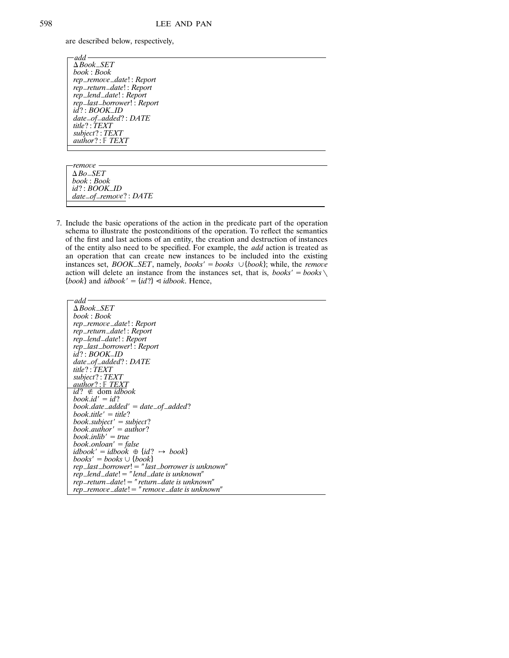are described below, respectively,

*add* — *add* SET <sup>D</sup>*Book SET* ] *book* : *Book* rep\_return\_date! : Report<br>rep\_lend\_date! : Report<br>rep\_last\_borrower! : Report<br>id? : BOOK\_ID<br>date\_of\_added? : DATE *title*? : *TEXT subject*? : *TEXT author*? : F *TEXT*

*remo*¨*e* <sup>D</sup>*Bo SET* ] *book* : *Book*  $date\_of\_remove$ ? : *DATE* 

7. Include the basic operations of the action in the predicate part of the operation schema to illustrate the postconditions of the operation. To reflect the semantics of the first and last actions of an entity, the creation and destruction of instances of the entity also need to be specified. For example, the *add* action is treated as an operation that can create new instances to be included into the existing instances set, *BOOK\_SET*, namely, *books'* = *books*  $\cup$  {*book*}; while, the *remove* action will delete an instance from the instances set, that is, *books'* = *books'*  ${book}$  and  $idbook' = {id?} \triangleleft idbook$ . Hence,

```
add
DBook SET ] book : Book
rep_return_date! : Report<br>rep_lend_date! : Report<br>rep_last_borrower! : Report<br>id? : BOOK_ID<br>date_of_added? : DATE
title? : TEXT
subject? : TEXT
author? : F TEXT
id? \notin \text{dom } idbookbook.id' = id?book.data\_added' = date_of\_added?<br>book.title' = title?book.subject' = subject?
book. \textit{author'} = \textit{author?}book.inlib' = true
book. on loan' = falseidbook' = idbook \oplus \{id? \rightarrow book\}books' = books \cup {book}<br>rep_last_borrower! = " last_borrower is unknown"
rep_lend_date! = " lend_date is unknown"<br>rep_return_date! = " return_date is unknown"<br>rep_remove_date! = " remove_date is unknown"
```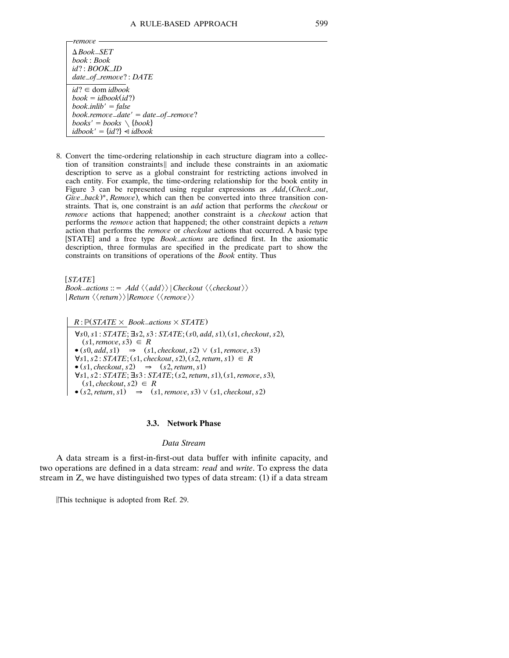| -remove                                  |
|------------------------------------------|
| $\triangle$ Book_SET                     |
| book : Book                              |
| $id$ ?: $BOOK$ _ID                       |
| date_of_remove?: DATE                    |
| $id? \in \text{dom} idbook$              |
| $book = idbook(id?)$                     |
| $book. in lib' = false$                  |
| $book$ .remove_date' = date_of_remove?   |
| $books' = books \setminus \{book\}$      |
| $idbook' = \{id?\} \triangleleft idbook$ |

8. Convert the time-ordering relationship in each structure diagram into a collection of transition constraints  $\parallel$  and include these constraints in an axiomatic description to serve as a global constraint for restricting actions involved in each entity. For example, the time-ordering relationship for the book entity in Figure 3 can be represented using regular expressions as  $Add$ , (Check–out, Give\_back)\*, Remove), which can then be converted into three transition constraints. That is, one constraint is an *add* action that performs the *checkout* or *remove* actions that happened; another constraint is a *checkout* action that performs the *remove* action that happened; the other constraint depicts a *return* action that performs the *remove* or *checkout* actions that occurred. A basic type [STATE] and a free type *Book\_actions* are defined first. In the axiomatic description, three formulas are specified in the predicate part to show the constraints on transitions of operations of the *Book* entity. Thus

 $[STATE]$ *Book\_actions* :: = *Add*  $\langle \langle add \rangle \rangle$  [*Checkout*  $\langle \langle checkout \rangle \rangle$  | *Return*  $\langle \langle return \rangle \rangle$  | *Remove*  $\langle \langle remove \rangle \rangle$ 

 $R: \mathbb{P}(STATE \times Book\_actions \times STATE)$  $\forall s0, s1: STATE; \exists s2, s3: STATE; (s0, add, s1), (s1, checkout, s2),$  $(s1, remove, s3) \in R$  $\bullet$  (*s*0, *add*, *s*1)  $\Rightarrow$  (*s*1, *checkout*, *s*2)  $\vee$  (*s*1, *remove*, *s*3)  $\forall s1, s2: STATE; (s1, checkout, s2), (s2, return, s1) \in R$  $\bullet$  (s1, *checkout*, s2)  $\Rightarrow$  (s2, *return*, s1)  $\forall s1, s2$ ; *STATE*;  $\exists s3$ ; *STATE*;  $(s2, return, s1)$ ,  $(s1, remove, s3)$ ,  $(s1, \text{checkout}, s2) \in R$  $\bullet$  (*s*2, *return*, *s*1)  $\Rightarrow$  (*s*1, *remove*, *s*3)  $\vee$  (*s*1, *checkout*, *s*2)

#### **3.3. Network Phase**

## *Data Stream*

A data stream is a first-in-first-out data buffer with infinite capacity, and two operations are defined in a data stream: *read* and *write*. To express the data stream in  $Z$ , we have distinguished two types of data stream:  $(1)$  if a data stream

This technique is adopted from Ref. 29.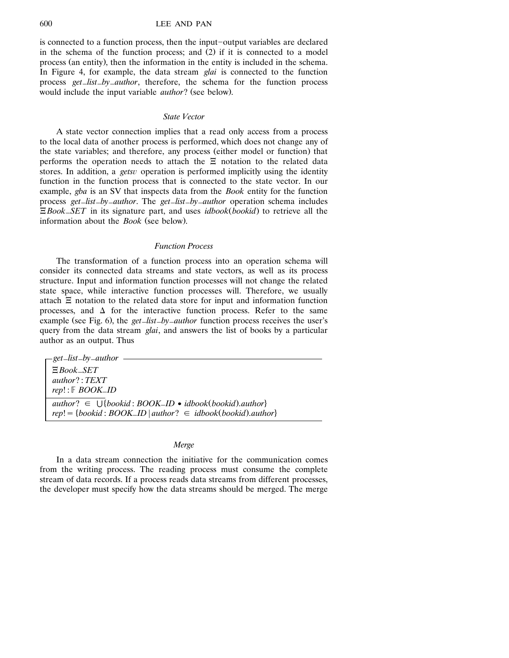is connected to a function process, then the input-output variables are declared in the schema of the function process; and  $(2)$  if it is connected to a model process (an entity), then the information in the entity is included in the schema. In Figure 4, for example, the data stream *glai* is connected to the function process *get\_list\_by\_author*, therefore, the schema for the function process would include the input variable *author*? (see below).

# *State Vector*

A state vector connection implies that a read only access from a process to the local data of another process is performed, which does not change any of the state variables; and therefore, any process (either model or function) that performs the operation needs to attach the  $E$  notation to the related data stores. In addition, a *getsv* operation is performed implicitly using the identity function in the function process that is connected to the state vector. In our example, *gba* is an SV that inspects data from the *Book* entity for the function process *get\_list\_by\_author*. The *get\_list\_by\_author* operation schema includes *<i><u>EBook–SET*</u> in its signature part, and uses *idbook*(*bookid*) to retrieve all the information about the  $Book$  (see below).

## *Function Process*

The transformation of a function process into an operation schema will consider its connected data streams and state vectors, as well as its process structure. Input and information function processes will not change the related state space, while interactive function processes will. Therefore, we usually attach  $\Xi$  notation to the related data store for input and information function processes, and  $\Delta$  for the interactive function process. Refer to the same example (see Fig. 6), the *get-list-by-author* function process receives the user's query from the data stream *glai*, and answers the list of books by a particular author as an output. Thus

-get\_list\_by\_author -<sup>J</sup>*Book SET* ] *author*? : *TEXT rep*! : F *BOOK ID* ]  $\overline{a}$ *author*?  $\in$  U<sup>{</sup>bookid : *BOOK-ID* • *idbook*(*bookid*).*author*}  $rep! = \{bookid : BOOK - ID | author? \in \{idbook(bookid).author\}$ 

## *Merge*

In a data stream connection the initiative for the communication comes from the writing process. The reading process must consume the complete stream of data records. If a process reads data streams from different processes, the developer must specify how the data streams should be merged. The merge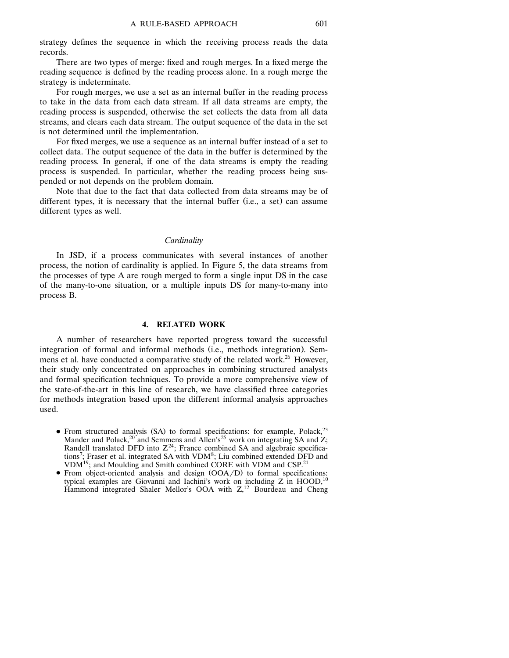strategy defines the sequence in which the receiving process reads the data records.

There are two types of merge: fixed and rough merges. In a fixed merge the reading sequence is defined by the reading process alone. In a rough merge the strategy is indeterminate.

For rough merges, we use a set as an internal buffer in the reading process to take in the data from each data stream. If all data streams are empty, the reading process is suspended, otherwise the set collects the data from all data streams, and clears each data stream. The output sequence of the data in the set is not determined until the implementation.

For fixed merges, we use a sequence as an internal buffer instead of a set to collect data. The output sequence of the data in the buffer is determined by the reading process. In general, if one of the data streams is empty the reading process is suspended. In particular, whether the reading process being suspended or not depends on the problem domain.

Note that due to the fact that data collected from data streams may be of different types, it is necessary that the internal buffer  $(i.e., a set)$  can assume different types as well.

## *Cardinality*

In JSD, if a process communicates with several instances of another process, the notion of cardinality is applied. In Figure 5, the data streams from the processes of type A are rough merged to form a single input DS in the case of the many-to-one situation, or a multiple inputs DS for many-to-many into process B.

#### **4. RELATED WORK**

A number of researchers have reported progress toward the successful integration of formal and informal methods (i.e., methods integration). Semmens et al. have conducted a comparative study of the related work.<sup>26</sup> However, their study only concentrated on approaches in combining structured analysts and formal specification techniques. To provide a more comprehensive view of the state-of-the-art in this line of research, we have classified three categories for methods integration based upon the different informal analysis approaches used.

- From structured analysis (SA) to formal specifications: for example, Polack,  $2^3$ Mander and Polack,<sup>20</sup> and Semmens and Allen's<sup>25</sup> work on integrating SA and Z; Randell translated DFD into  $Z^{24}$ ; France combined SA and algebraic specifications<sup>7</sup>; Fraser et al. integrated SA with VDM<sup>8</sup>; Liu combined extended DFD and VDM<sup>19</sup>; and Moulding and Smith combined CORE with VDM and CSP.<sup>21</sup>
- From object-oriented analysis and design  $(OOA/D)$  to formal specifications: typical examples are Giovanni and Iachini's work on including  $Z$  in HOOD,<sup>10</sup> Hammond integrated Shaler Mellor's OOA with Z,<sup>12</sup> Bourdeau and Cheng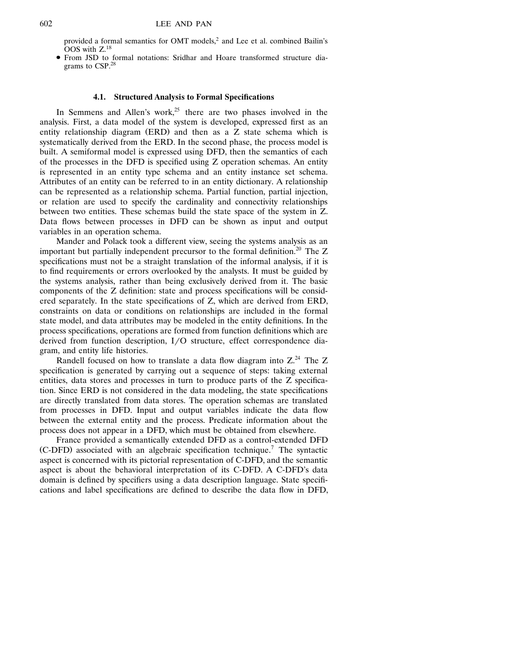provided a formal semantics for OMT models,<sup>2</sup> and Lee et al. combined Bailin's  $OOS$  with  $Z^{18}$ 

• From JSD to formal notations: Sridhar and Hoare transformed structure diagrams to CSP.28

### **4.1. Structured Analysis to Formal Specifications**

In Semmens and Allen's work,<sup>25</sup> there are two phases involved in the analysis. First, a data model of the system is developed, expressed first as an entity relationship diagram  $(ERD)$  and then as a  $Z$  state schema which is systematically derived from the ERD. In the second phase, the process model is built. A semiformal model is expressed using DFD, then the semantics of each of the processes in the DFD is specified using Z operation schemas. An entity is represented in an entity type schema and an entity instance set schema. Attributes of an entity can be referred to in an entity dictionary. A relationship can be represented as a relationship schema. Partial function, partial injection, or relation are used to specify the cardinality and connectivity relationships between two entities. These schemas build the state space of the system in Z. Data flows between processes in DFD can be shown as input and output variables in an operation schema.

Mander and Polack took a different view, seeing the systems analysis as an important but partially independent precursor to the formal definition.<sup>20</sup> The Z specifications must not be a straight translation of the informal analysis, if it is to find requirements or errors overlooked by the analysts. It must be guided by the systems analysis, rather than being exclusively derived from it. The basic components of the Z definition: state and process specifications will be considered separately. In the state specifications of Z, which are derived from ERD, constraints on data or conditions on relationships are included in the formal state model, and data attributes may be modeled in the entity definitions. In the process specifications, operations are formed from function definitions which are derived from function description, I/O structure, effect correspondence diagram, and entity life histories.

Randell focused on how to translate a data flow diagram into  $Z<sup>24</sup>$ . The Z specification is generated by carrying out a sequence of steps: taking external entities, data stores and processes in turn to produce parts of the  $Z$  specification. Since ERD is not considered in the data modeling, the state specifications are directly translated from data stores. The operation schemas are translated from processes in DFD. Input and output variables indicate the data flow between the external entity and the process. Predicate information about the process does not appear in a DFD, which must be obtained from elsewhere.

France provided a semantically extended DFD as a control-extended DFD  $(C-DFD)$  associated with an algebraic specification technique.<sup>7</sup> The syntactic aspect is concerned with its pictorial representation of C-DFD, and the semantic aspect is about the behavioral interpretation of its C-DFD. A C-DFD's data domain is defined by specifiers using a data description language. State specifications and label specifications are defined to describe the data flow in DFD,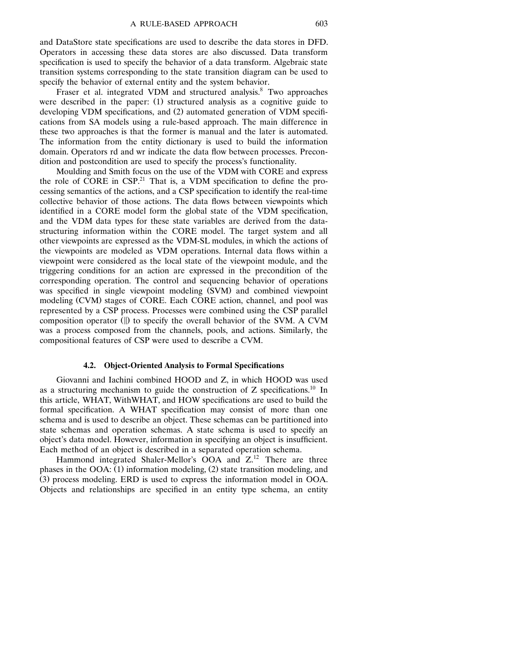and DataStore state specifications are used to describe the data stores in DFD. Operators in accessing these data stores are also discussed. Data transform specification is used to specify the behavior of a data transform. Algebraic state transition systems corresponding to the state transition diagram can be used to specify the behavior of external entity and the system behavior.

Fraser et al. integrated VDM and structured analysis.<sup>8</sup> Two approaches were described in the paper: (1) structured analysis as a cognitive guide to developing VDM specifications, and (2) automated generation of VDM specifications from SA models using a rule-based approach. The main difference in these two approaches is that the former is manual and the later is automated. The information from the entity dictionary is used to build the information domain. Operators rd and wr indicate the data flow between processes. Precondition and postcondition are used to specify the process's functionality.

Moulding and Smith focus on the use of the VDM with CORE and express the role of CORE in  $CSP<sup>21</sup>$  That is, a VDM specification to define the processing semantics of the actions, and a CSP specification to identify the real-time collective behavior of those actions. The data flows between viewpoints which identified in a CORE model form the global state of the VDM specification, and the VDM data types for these state variables are derived from the datastructuring information within the CORE model. The target system and all other viewpoints are expressed as the VDM-SL modules, in which the actions of the viewpoints are modeled as VDM operations. Internal data flows within a viewpoint were considered as the local state of the viewpoint module, and the triggering conditions for an action are expressed in the precondition of the corresponding operation. The control and sequencing behavior of operations was specified in single viewpoint modeling  $(SVM)$  and combined viewpoint modeling (CVM) stages of CORE. Each CORE action, channel, and pool was represented by a CSP process. Processes were combined using the CSP parallel composition operator  $(\parallel)$  to specify the overall behavior of the SVM. A CVM was a process composed from the channels, pools, and actions. Similarly, the compositional features of CSP were used to describe a CVM.

# **4.2. Object-Oriented Analysis to Formal Specifications**

Giovanni and Iachini combined HOOD and Z, in which HOOD was used as a structuring mechanism to guide the construction of Z specifications.<sup>10</sup> In this article, WHAT, WithWHAT, and HOW specifications are used to build the formal specification. A WHAT specification may consist of more than one schema and is used to describe an object. These schemas can be partitioned into state schemas and operation schemas. A state schema is used to specify an object's data model. However, information in specifying an object is insufficient. Each method of an object is described in a separated operation schema.

Hammond integrated Shaler-Mellor's OOA and Z.<sup>12</sup> There are three phases in the OOA:  $(1)$  information modeling,  $(2)$  state transition modeling, and (3) process modeling. ERD is used to express the information model in OOA. Objects and relationships are specified in an entity type schema, an entity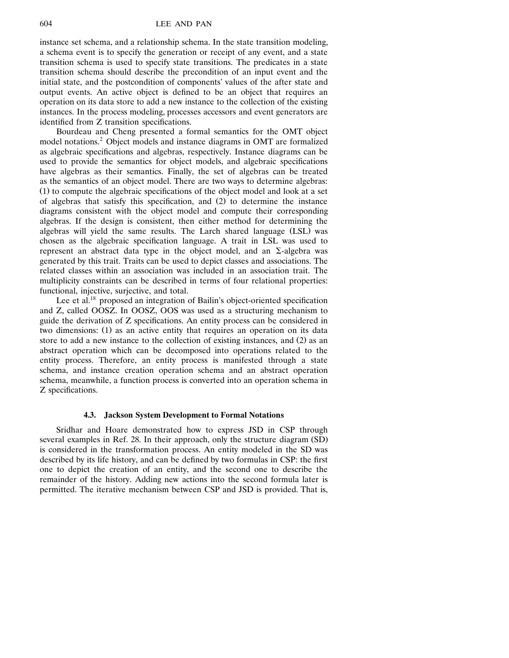instance set schema, and a relationship schema. In the state transition modeling, a schema event is to specify the generation or receipt of any event, and a state transition schema is used to specify state transitions. The predicates in a state transition schema should describe the precondition of an input event and the initial state, and the postcondition of components' values of the after state and output events. An active object is defined to be an object that requires an operation on its data store to add a new instance to the collection of the existing instances. In the process modeling, processes accessors and event generators are identified from Z transition specifications.

Bourdeau and Cheng presented a formal semantics for the OMT object model notations.<sup>2</sup> Object models and instance diagrams in OMT are formalized as algebraic specifications and algebras, respectively. Instance diagrams can be used to provide the semantics for object models, and algebraic specifications have algebras as their semantics. Finally, the set of algebras can be treated as the semantics of an object model. There are two ways to determine algebras:  $(1)$  to compute the algebraic specifications of the object model and look at a set of algebras that satisfy this specification, and (2) to determine the instance diagrams consistent with the object model and compute their corresponding algebras. If the design is consistent, then either method for determining the algebras will yield the same results. The Larch shared language (LSL) was chosen as the algebraic specification language. A trait in LSL was used to represent an abstract data type in the object model, and an  $\Sigma$ -algebra was generated by this trait. Traits can be used to depict classes and associations. The related classes within an association was included in an association trait. The multiplicity constraints can be described in terms of four relational properties: functional, injective, surjective, and total.

Lee et al.<sup>18</sup> proposed an integration of Bailin's object-oriented specification and Z, called OOSZ. In OOSZ, OOS was used as a structuring mechanism to guide the derivation of Z specifications. An entity process can be considered in two dimensions:  $(1)$  as an active entity that requires an operation on its data store to add a new instance to the collection of existing instances, and  $(2)$  as an abstract operation which can be decomposed into operations related to the entity process. Therefore, an entity process is manifested through a state schema, and instance creation operation schema and an abstract operation schema, meanwhile, a function process is converted into an operation schema in Z specifications.

# **4.3. Jackson System Development to Formal Notations**

Sridhar and Hoare demonstrated how to express JSD in CSP through several examples in Ref. 28. In their approach, only the structure diagram (SD) is considered in the transformation process. An entity modeled in the SD was described by its life history, and can be defined by two formulas in CSP: the first one to depict the creation of an entity, and the second one to describe the remainder of the history. Adding new actions into the second formula later is permitted. The iterative mechanism between CSP and JSD is provided. That is,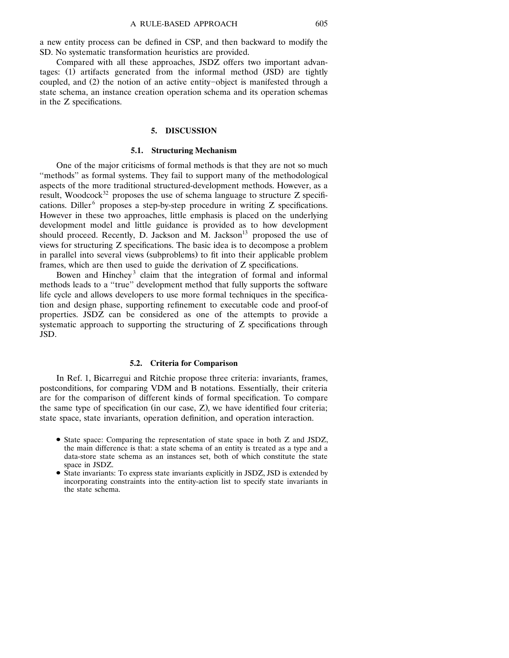a new entity process can be defined in CSP, and then backward to modify the SD. No systematic transformation heuristics are provided.

Compared with all these approaches, JSDZ offers two important advantages:  $(1)$  artifacts generated from the informal method  $(JSD)$  are tightly coupled, and (2) the notion of an active entity-object is manifested through a state schema, an instance creation operation schema and its operation schemas in the Z specifications.

## **5. DISCUSSION**

#### **5.1. Structuring Mechanism**

One of the major criticisms of formal methods is that they are not so much "methods" as formal systems. They fail to support many of the methodological aspects of the more traditional structured-development methods. However, as a result, Woodcock<sup>32</sup> proposes the use of schema language to structure  $Z$  specifications. Diller<sup>6</sup> proposes a step-by-step procedure in writing Z specifications. However in these two approaches, little emphasis is placed on the underlying development model and little guidance is provided as to how development should proceed. Recently, D. Jackson and M. Jackson<sup>13</sup> proposed the use of views for structuring Z specifications. The basic idea is to decompose a problem in parallel into several views (subproblems) to fit into their applicable problem frames, which are then used to guide the derivation of Z specifications.

Bowen and Hinchey<sup>3</sup> claim that the integration of formal and informal methods leads to a ''true'' development method that fully supports the software life cycle and allows developers to use more formal techniques in the specification and design phase, supporting refinement to executable code and proof-of properties. JSDZ can be considered as one of the attempts to provide a systematic approach to supporting the structuring of Z specifications through JSD.

#### **5.2. Criteria for Comparison**

In Ref. 1, Bicarregui and Ritchie propose three criteria: invariants, frames, postconditions, for comparing VDM and B notations. Essentially, their criteria are for the comparison of different kinds of formal specification. To compare the same type of specification (in our case,  $Z$ ), we have identified four criteria; state space, state invariants, operation definition, and operation interaction.

- State space: Comparing the representation of state space in both Z and JSDZ, the main difference is that: a state schema of an entity is treated as a type and a data-store state schema as an instances set, both of which constitute the state space in JSDZ.
- State invariants: To express state invariants explicitly in JSDZ, JSD is extended by incorporating constraints into the entity-action list to specify state invariants in the state schema.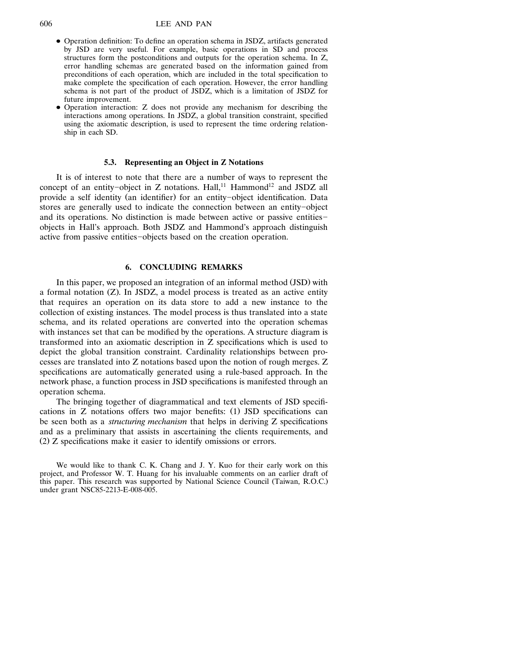- <sup>v</sup> Operation definition: To define an operation schema in JSDZ, artifacts generated by JSD are very useful. For example, basic operations in SD and process structures form the postconditions and outputs for the operation schema. In Z, error handling schemas are generated based on the information gained from preconditions of each operation, which are included in the total specification to make complete the specification of each operation. However, the error handling schema is not part of the product of JSDZ, which is a limitation of JSDZ for future improvement.
- Operation interaction: Z does not provide any mechanism for describing the interactions among operations. In JSDZ, a global transition constraint, specified using the axiomatic description, is used to represent the time ordering relationship in each SD.

## **5.3. Representing an Object in Z Notations**

It is of interest to note that there are a number of ways to represent the concept of an entity-object in Z notations.  $Hall$ ,<sup>11</sup> Hammond<sup>12</sup> and JSDZ all provide a self identity (an identifier) for an entity-object identification. Data stores are generally used to indicate the connection between an entity-object and its operations. No distinction is made between active or passive entitiesobjects in Hall's approach. Both JSDZ and Hammond's approach distinguish active from passive entities-objects based on the creation operation.

## **6. CONCLUDING REMARKS**

In this paper, we proposed an integration of an informal method (JSD) with a formal notation  $(Z)$ . In JSDZ, a model process is treated as an active entity that requires an operation on its data store to add a new instance to the collection of existing instances. The model process is thus translated into a state schema, and its related operations are converted into the operation schemas with instances set that can be modified by the operations. A structure diagram is transformed into an axiomatic description in  $\overline{Z}$  specifications which is used to depict the global transition constraint. Cardinality relationships between processes are translated into Z notations based upon the notion of rough merges. Z specifications are automatically generated using a rule-based approach. In the network phase, a function process in JSD specifications is manifested through an operation schema.

The bringing together of diagrammatical and text elements of JSD specifications in  $Z$  notations offers two major benefits: (1) JSD specifications can be seen both as a *structuring mechanism* that helps in deriving Z specifications and as a preliminary that assists in ascertaining the clients requirements, and  $(2)$  Z specifications make it easier to identify omissions or errors.

We would like to thank C. K. Chang and J. Y. Kuo for their early work on this project, and Professor W. T. Huang for his invaluable comments on an earlier draft of this paper. This research was supported by National Science Council (Taiwan, R.O.C.) under grant NSC85-2213-E-008-005.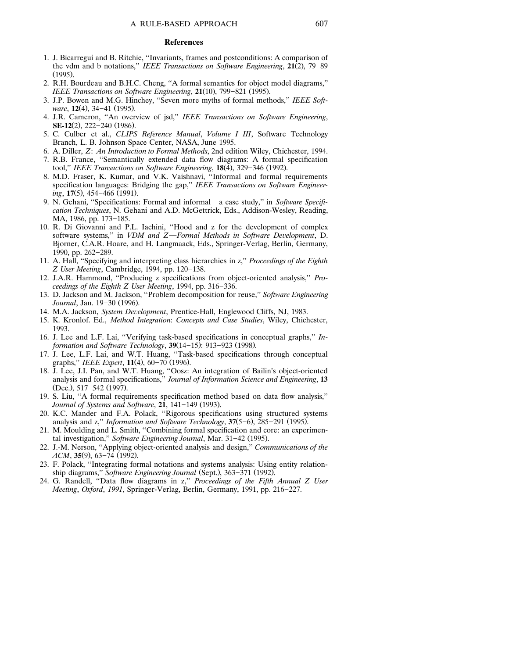#### **References**

- 1. J. Bicarregui and B. Ritchie, ''Invariants, frames and postconditions: A comparison of the vdm and b notations," *IEEE Transactions on Software Engineering*, 21(2), 79–89  $(1995)$ .
- 2. R.H. Bourdeau and B.H.C. Cheng, ''A formal semantics for object model diagrams,'' *IEEE Transactions on Software Engineering*, 21(10), 799-821 (1995).
- 3. J.P. Bowen and M.G. Hinchey, ''Seven more myths of formal methods,'' *IEEE Software*, 12(4), 34-41 (1995).
- 4. J.R. Cameron, ''An overview of jsd,'' *IEEE Transactions on Software Engineering*, **SE-12**(2), 222-240 (1986).
- 5. C. Culber et al., *CLIPS Reference Manual, Volume I-III*, Software Technology Branch, L. B. Johnson Space Center, NASA, June 1995.
- 6. A. Diller, *Z*: *An Introduction to Formal Methods*, 2nd edition Wiley, Chichester, 1994.
- 7. R.B. France, ''Semantically extended data flow diagrams: A formal specification tool," *IEEE Transactions on Software Engineering*, **18**(4), 329–346 (1992).
- 8. M.D. Fraser, K. Kumar, and V.K. Vaishnavi, ''Informal and formal requirements specification languages: Bridging the gap,'' *IEEE Transactions on Software Engineering*, **17**(5), 454-466 (1991).
- 9. N. Gehani, "Specifications: Formal and informal—a case study," in *Software Specification Techniques*, N. Gehani and A.D. McGettrick, Eds., Addison-Wesley, Reading, MA, 1986, pp. 173-185.
- 10. R. Di Giovanni and P.L. Iachini, ''Hood and z for the development of complex software systems," in *VDM and Z-Formal Methods in Software Development*, D. Bjorner, C.A.R. Hoare, and H. Langmaack, Eds., Springer-Verlag, Berlin, Germany, 1990, pp. 262-289.
- 11. A. Hall, ''Specifying and interpreting class hierarchies in z,'' *Proceedings of the Eighth Z User Meeting*, Cambridge, 1994, pp. 120-138.
- 12. J.A.R. Hammond, ''Producing z specifications from object-oriented analysis,'' *Proceedings of the Eighth Z User Meeting*, 1994, pp. 316-336.
- 13. D. Jackson and M. Jackson, ''Problem decomposition for reuse,'' *Software Engineering Journal*, Jan. 19-30 (1996).
- 14. M.A. Jackson, *System Development*, Prentice-Hall, Englewood Cliffs, NJ, 1983.
- 15. K. Kronlof. Ed., *Method Integration*: *Concepts and Case Studies*, Wiley, Chichester, 1993.
- 16. J. Lee and L.F. Lai, ''Verifying task-based specifications in conceptual graphs,'' *Information and Software Technology*, **39**(14–15): 913–923 (1998).
- 17. J. Lee, L.F. Lai, and W.T. Huang, ''Task-based specifications through conceptual graphs," *IEEE Expert*, **11**(4), 60–70 (1996).
- 18. J. Lee, J.I. Pan, and W.T. Huang, ''Oosz: An integration of Bailin's object-oriented analysis and formal specifications,'' *Journal of Information Science and Engineering*, **13** (Dec.), 517–542 (1997).
- 19. S. Liu, ''A formal requirements specification method based on data flow analysis,'' *Journal of Systems and Software*, 21, 141–149 (1993).
- 20. K.C. Mander and F.A. Polack, ''Rigorous specifications using structured systems analysis and z," *Information and Software Technology*, 37(5–6), 285–291 (1995).
- 21. M. Moulding and L. Smith, ''Combining formal specification and core: an experimental investigation," *Software Engineering Journal*, Mar. 31-42 (1995).
- 22. J.-M. Nerson, ''Applying object-oriented analysis and design,'' *Communications of the ACM*, 35(9), 63-74 (1992).
- 23. F. Polack, ''Integrating formal notations and systems analysis: Using entity relationship diagrams," *Software Engineering Journal* (Sept.), 363-371 (1992).
- 24. G. Randell, ''Data flow diagrams in z,'' *Proceedings of the Fifth Annual Z User Meeting*, *Oxford*, *1991*, *Springer-Verlag*, *Berlin, Germany*, *1991*, *pp.* 216–227.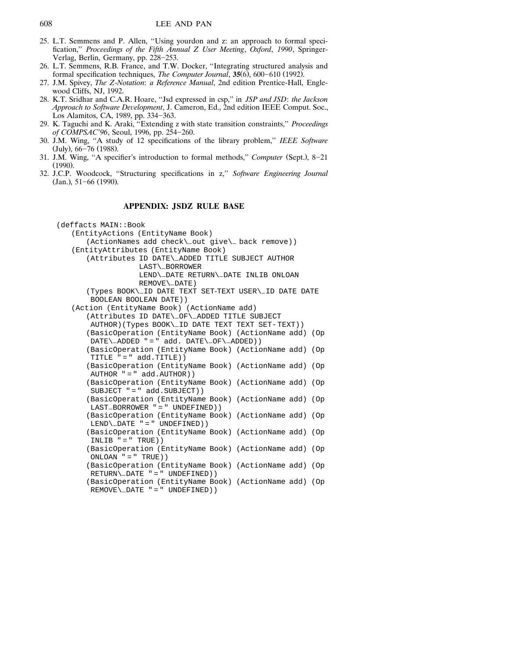- 25. L.T. Semmens and P. Allen, ''Using yourdon and z: an approach to formal specification,'' *Proceedings of the Fifth Annual Z User Meeting*, *Oxford*, *1990*, Springer-Verlag, Berlin, Germany, pp. 228-253.
- 26. L.T. Semmens, R.B. France, and T.W. Docker, ''Integrating structured analysis and formal specification techniques, *The Computer Journal*, **35**(6), 600–610 (1992).
- 27. J.M. Spivey, *The Z*-*Notation*: *a Reference Manual*, 2nd edition Prentice-Hall, Englewood Cliffs, NJ, 1992.
- 28. K.T. Sridhar and C.A.R. Hoare, ''Jsd expressed in csp,'' in *JSP and JSD*: *the Jackson Approach to Software Development*, J. Cameron, Ed., 2nd edition IEEE Comput. Soc., Los Alamitos, CA, 1989, pp. 334–363.
- 29. K. Taguchi and K. Araki, ''Extending z with state transition constraints,'' *Proceedings of COMPSAC*'96, Seoul, 1996, pp. 254–260.
- 30. J.M. Wing, ''A study of 12 specifications of the library problem,'' *IEEE Software*  $(July)$ , 66-76 (1988).
- 31. J.M. Wing, "A specifier's introduction to formal methods," *Computer* (Sept.), 8–21  $(1990)$ .
- 32. J.C.P. Woodcock, ''Structuring specifications in z,'' *Software Engineering Journal* (Jan.), 51-66 (1990).

# **APPENDIX: JSDZ RULE BASE**

```
(deffacts MAIN::Book
    (EntityActions (EntityName Book)
    (ActionNames add check\_out give\_ back remove)) (EntityAttributes (EntityName Book)
         (Attributes ID DATE\_ADDED TITLE SUBJECT AUTHOR<br>
LEND\_DATE RETURN\_DATE INLIB ONLOAN<br>
REMOVE\_DATE)<br>(Types BOOK\_ID DATE TEXT SET-TEXT USER\_ID DATE DATE
          BOOLEAN BOOLEAN DATE))
    (Action (EntityName Book) (ActionName add)
         (Attributes ID DATE\-OF\-ADDED TITLE SUBJECT<br>AUTHOR)(Types BOOK\-ID DATE TEXT TEXT SET- TEXT))<br>(BasicOperation (EntityName Book) (ActionName add) (Op
         DATE\_ADDED " = " add. DATE\_OF\_ADDED))<br>(BasicOperation (EntityName Book) (ActionName add) (Op
          TITLE " = " add.TITLE))
         (BasicOperation (EntityName Book) (ActionName add) (Op
          AUTHOR " = " add.AUTHOR)(BasicOperation (EntityName Book) (ActionName add) (Op
          SUBJECT " = " add.SUBJECT))
         (BasicOperation (EntityName Book) (ActionName add) (Op LAST_BORROWER "= " UNDEFINED))
         (BasicOperation (EntityName Book) (ActionName add) (Op
         LEND\_DATE " = " UNDEFINED))<br>(BasicOperation (EntityName Book) (ActionName add) (Op
          INLIB " = " TRUE)(BasicOperation (EntityName Book) (ActionName add) (Op
          ONLOAN " = " TRUE)(BasicOperation (EntityName Book) (ActionName add) (Op
         RETURN\_DATE " = " UNDEFINED))<br>(BasicOperation (EntityName Book) (ActionName add) (Op
          REMOVE\angleDATE " = " UNDERINED))
```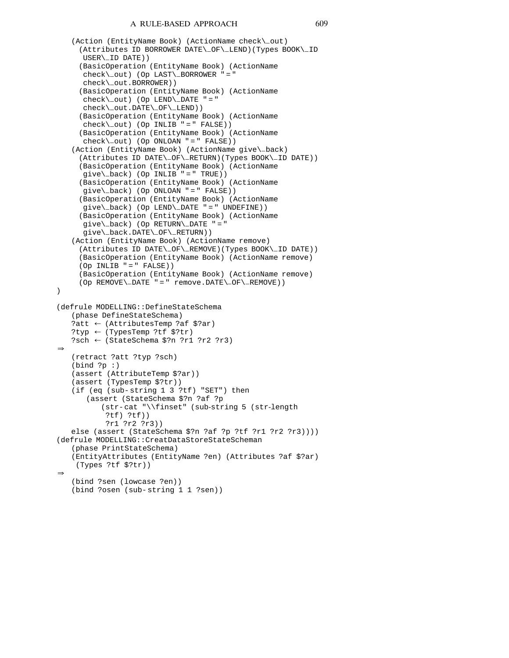```
(Action (EntityName Book) (ActionName check\_out)<br>
(Attributes ID BORROWER DATE\_OF\_LEND)(Types BOOK\_ID<br>
USER\_ID DATE))<br>
(BasicOperation (EntityName Book) (ActionName
       check\_out) (Op LAST\_BORROWER " = "<br>check\_out.BORROWER))<br>(BasicOperation (EntityName Book) (ActionName
       check\_out) (Op LEND\_DATE " = "<br>check\_out.DATE\_OF\_LEND))<br>(BasicOperation (EntityName Book) (ActionName<br>check\_out) (Op INLIB " = "FALSE))
       (BasicOperation (EntityName Book) (ActionName
     check\_out) (Op ONLOAN " = " FALSE))<br>
(Action (EntityName Book) (ActionName give\_back)<br>
(Attributes ID DATE\_OF\_RETURN)(Types BOOK\_ID DATE))<br>
(BasicOperation (EntityName Book) (ActionName
       give\_back) (Op INLIB "= " TRUE))<br>(BasicOperation (EntityName Book) (ActionName<br>give\_back) (Op ONLOAN "= " FALSE))
       (BasicOperation (EntityName Book) (ActionName
       give\_back) (Op LEND\_DATE " = " UNDEFINE))<br>(BasicOperation (EntityName Book) (ActionName
     give\_back) (Op RETURN\_DATE " = "<br>give\_back.DATE\_OF\_RETURN))<br>(Action (EntityName Book) (ActionName remove)
       (Attributes ID DATE\_OF\_REMOVE)(Types BOOK\_ID DATE)) ] [BasicOperation (EntityName Book) (ActionName remove)
       (Op INLIB " = " FALSE))
       (BasicOperation (EntityName Book) (ActionName remove)
(Op REMOVE\_DATE " = " remove.DATE\_OF\_REMOVE))
(defrule MODELLING::DefineStateSchema
     (phase DefineStateSchema)
    ?att \leftarrow (AttributesTemp ?af $?ar)
    ?typ \leftarrow (TypesTemp ?tf \$?tr)?sch \leftarrow (StateSchema $?n ?r1 ?r2 ?r3)
\Rightarrow(retract ?att ?typ ?sch)
     (bind ?p :)
     (assert (AttributeTemp $?ar))
     (assert (TypesTemp $?tr))
     (if (eq (sub- string 1 3 ?tf) "SET") then
          (assert (StateSchema $?n ?af ?p
                (str- cat "\\finset" (sub-string 5 (str-length
                 ?tf) ?tf))
                 ?r1 ?r2 ?r3))
    else (assert (StateSchema $?n ?af ?p ?tf ?r1 ?r2 ?r3))))
(defrule MODELLING::CreatDataStoreStateScheman
     (phase PrintStateSchema)
     (EntityAttributes (EntityName ?en) (Attributes ?af $?ar)
      (Types ?tf $?tr))
\Rightarrow(bind ?sen (lowcase ?en))
     (bind ?osen (sub- string 1 1 ?sen))
```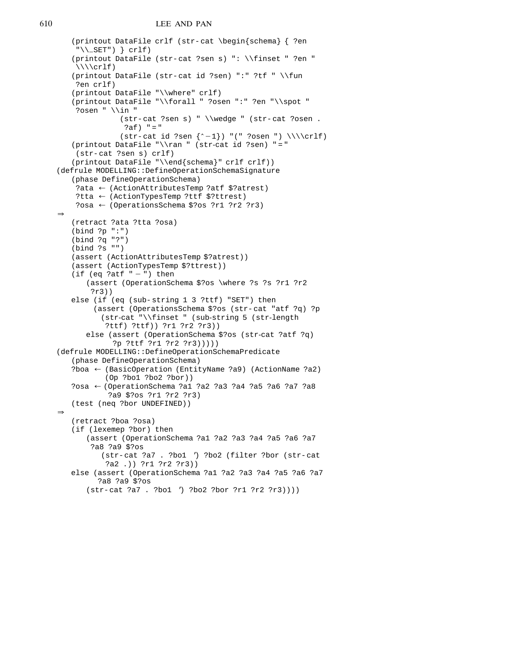```
(printout DataFile crlf (str- cat \begin{schema} { ?en
   "\\ SET") } crlf) ] (printout DataFile (str- cat ?sen s) ": \\finset " ?en "
    \{\{\}\(printout DataFile (str- cat id ?sen) ":" ?tf " \\fun
    ?en crlf)
   (printout DataFile "\\where" crlf)
   (printout DataFile "\\forall " ?osen ":" ?en "\\spot "
    ?osen " \\in "
               (str- cat ?sen s) " \\wedge " (str- cat ?osen .
                ?af) " = "
               (str-cat id ?sen \{-1\}) "(" ?osen ") \\\\crlf)
   (printout DataFile "\\ran " (str-cat id ?sen) " = "
    (str- cat ?sen s) crlf)
   (printout DataFile "\\end{schema}" crlf crlf))
(defrule MODELLING::DefineOperationSchemaSignature
   (phase DefineOperationSchema)
    ?ata \leftarrow (ActionAttributesTemp ?atf $?atrest)?tta \leftarrow (ActionTypesTemp ?ttf $?ttrest)
    ?osa \leftarrow (OperationsSchema $?os ?r1 ?r2 ?r3)
\Rightarrow(retract ?ata ?tta ?osa)
   (bind ?p ":")
   (bind ?q "?")
   (bind ?s "")
   (assert (ActionAttributesTemp $?atrest))
   (assert (ActionTypesTemp $?ttrest))
   (if (eq ?atf " -") then
       (assert (OperationSchema $?os \where ?s ?s ?r1 ?r2
        ?r3))
   else (if (eq (sub- string 1 3 ?ttf) "SET") then
        (assert (OperationsSchema $?os (str- cat "atf ?q) ?p
          (str-cat "\\finset " (sub-string 5 (str-length
           ?ttf) ?ttf)) ?r1 ?r2 ?r3))
       else (assert (OperationSchema $?os (str-cat ?atf ?q)
             ?p ?ttf ?r1 ?r2 ?r3)))))
(defrule MODELLING::DefineOperationSchemaPredicate
   (phase DefineOperationSchema)
   ?boa \leftarrow (BasicOperation (EntityName ?a9) (ActionName ?a2)
           (Op ?bo1 ?bo2 ?bor))
   ?osa \leftarrow (OperationSchema ?a1 ?a2 ?a3 ?a4 ?a5 ?a6 ?a7 ?a8
            ?a9 $?os ?r1 ?r2 ?r3)
   (test (neq ?bor UNDEFINED))
\Rightarrow(retract ?boa ?osa)
   (if (lexemep ?bor) then
       (assert (OperationSchema ?a1 ?a2 ?a3 ?a4 ?a5 ?a6 ?a7
        ?a8 ?a9 $?os
          (str- cat ?a7 . ?bo1 ') ?bo2 (filter ?bor (str- cat
           ?a2 .)) ?r1 ?r2 ?r3))
   else (assert (OperationSchema ?a1 ?a2 ?a3 ?a4 ?a5 ?a6 ?a7
         ?a8 ?a9 $?os
       (str- cat ?a7 . ?bo1 ') ?bo2 ?bor ?r1 ?r2 ?r3))))
```